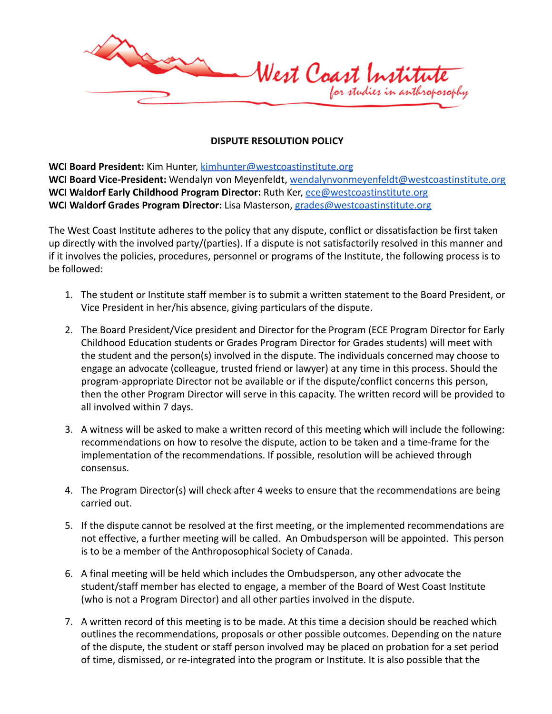

## **DISPUTE RESOLUTION POLICY**

**WCI Board President:** Kim Hunter, [kimhunter@westcoastinstitute.org](mailto:kimhunter@westcoastinstitute.org) **WCI Board Vice-President:** Wendalyn von Meyenfeldt, [wendalynvonmeyenfeldt@westcoastinstitute.org](mailto:wendalynvonmeyenfeldt@westcoastinstitute.org) **WCI Waldorf Early Childhood Program Director:** Ruth Ker, [ece@westcoastinstitute.org](mailto:ece@westcoastinstitute.org) **WCI Waldorf Grades Program Director:** Lisa Masterson, [grades@westcoastinstitute.org](mailto:grades@westcoastinstitute.org)

The West Coast Institute adheres to the policy that any dispute, conflict or dissatisfaction be first taken up directly with the involved party/(parties). If a dispute is not satisfactorily resolved in this manner and if it involves the policies, procedures, personnel or programs of the Institute, the following process is to be followed:

- 1. The student or Institute staff member is to submit a written statement to the Board President, or Vice President in her/his absence, giving particulars of the dispute.
- 2. The Board President/Vice president and Director for the Program (ECE Program Director for Early Childhood Education students or Grades Program Director for Grades students) will meet with the student and the person(s) involved in the dispute. The individuals concerned may choose to engage an advocate (colleague, trusted friend or lawyer) at any time in this process. Should the program-appropriate Director not be available or if the dispute/conflict concerns this person, then the other Program Director will serve in this capacity. The written record will be provided to all involved within 7 days.
- 3. A witness will be asked to make a written record of this meeting which will include the following: recommendations on how to resolve the dispute, action to be taken and a time-frame for the implementation of the recommendations. If possible, resolution will be achieved through consensus.
- 4. The Program Director(s) will check after 4 weeks to ensure that the recommendations are being carried out.
- 5. If the dispute cannot be resolved at the first meeting, or the implemented recommendations are not effective, a further meeting will be called. An Ombudsperson will be appointed. This person is to be a member of the Anthroposophical Society of Canada.
- 6. A final meeting will be held which includes the Ombudsperson, any other advocate the student/staff member has elected to engage, a member of the Board of West Coast Institute (who is not a Program Director) and all other parties involved in the dispute.
- 7. A written record of this meeting is to be made. At this time a decision should be reached which outlines the recommendations, proposals or other possible outcomes. Depending on the nature of the dispute, the student or staff person involved may be placed on probation for a set period of time, dismissed, or re-integrated into the program or Institute. It is also possible that the